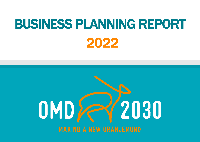# BUSINESS PLANNING REPORT 2022

# 12030 OMD **MAKING A NEW ORANJEMUND**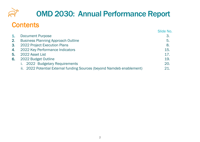

## OMD 2030: Annual Performance Report

#### **Contents**

|    |                                                                        | Slide No. |
|----|------------------------------------------------------------------------|-----------|
| 1. | <b>Document Purpose</b>                                                | 3         |
| 2. | <b>Business Planning Approach Outline</b>                              | 5.        |
| 3. | 2022 Project Execution Plans                                           | 8.        |
| 4. | 2022 Key Performance Indicators                                        | 15.       |
| 5. | 2022 Asset List                                                        | 17.       |
| 6. | 2022 Budget Outline                                                    | 19.       |
|    | 2022 Budgetary Requirements                                            | 20.       |
|    | ii. 2022 Potential External funding Sources (beyond Namdeb enablement) | 21.       |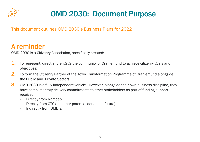

### OMD 2030: Document Purpose

This document outlines OMD 2030's Business Plans for 2022

#### A reminder

OMD 2030 is a Citizenry Association, specifically created:

- **1.** To represent, direct and engage the community of Oranjemund to achieve citizenry goals and objectives;
- 2. To form the Citizenry Partner of the Town Transformation Programme of Oranjemund alongside the Public and Private Sectors;
- **3.** OMD 2030 is a fully independent vehicle. However, alongside their own business discipline, they have complimentary delivery commitments to other stakeholders as part of funding support received:
	- Directly from Namdeb;
	- Directly from OTC and other potential donors (in future);
	- Indirectly from OMDis;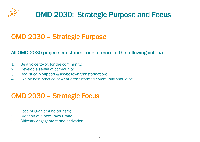

#### OMD 2030 – Strategic Purpose

#### All OMD 2030 projects must meet one or more of the following criteria:

- 1. Be a voice to/of/for the community;
- 2. Develop a sense of community;
- 3. Realistically support & assist town transformation;
- 4. Exhibit best practice of what a transformed community should be.

#### OMD 2030 – Strategic Focus

- Face of Oranjemund tourism;
- Creation of a new Town Brand;
- Citizenry engagement and activation.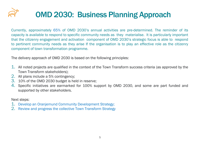# OMD 2030: Business Planning Approach

Currently, approximately 65% of OMD 2030's annual activities are pre-determined. The reminder of its capacity is available to respond to specific community needs as they materialise. It is particularly important that the citizenry engagement and activation component of OMD 2030's strategic focus is able to respond to pertinent community needs as they arise If the organisation is to play an effective role as the citizenry component of town transformation programme.

The delivery approach of OMD 2030 is based on the following principles:

- 1. All noted projects are qualified in the context of the Town Transform success criteria (as approved by the Town Transform stakeholders);
- 2. All plans include a 5% contingency;
- 3. 10% of the OMD 2030 budget is held in reserve;
- 4. Specific initiatives are earmarked for 100% support by OMD 2030, and some are part funded and supported by other stakeholders.

Next steps:

- 1. Develop an Oranjemund Community Development Strategy;
- 2. Review and progress the collective Town Transform Strategy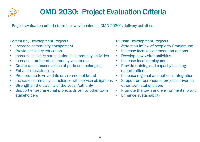

## OMD 2030: Project Evaluation Criteria

Project evaluation criteria form the 'why' behind all OMD 2030's delivery activities.

#### Community Development Projects

- Increase community engagement
- Provide citizenry education
- Increase citizenry participation in community activities
- Increase number of community volunteers
- Create an increased sense of pride and belonging
- Enhance sustainability
- Promote the town and its environmental brand
- Increase community compliance with service obligations •
- Strengthen the viability of the Local Authority
- Support entrepreneurial projects driven by other town stakeholders

Tourism Development Projects

- Attract an inflow of people to Oranjemund
- Increase local accommodation options
- Develop new visitor activities
- Increase local employment
- Provide training and capacity building opportunities
- Increase regional and national integration
- Support entrepreneurial projects driven by other town stakeholders
- Promote the town and environmental brand
- Enhance sustainability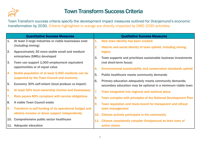

#### Town Transform Success Criteria

Town Transform success criteria specify the development impact measures outlined for Oranjemund's economic transformation by 2030. Criteria highlighted in orange are directly impacted by OMD 2030 activities.

|              | <b>Quantitative Success Measures</b>                    |     | <b>Qualitative Success Measures</b>                            |
|--------------|---------------------------------------------------------|-----|----------------------------------------------------------------|
| $\mathbf{1}$ | At least 3 large industries or viable businesses exist  | 1.  | New town identity has been created                             |
|              | (including mining)                                      | 2.  | Historic and social identity of town upheld, including mining  |
| 2.           | Approximately 30 more stable small and medium           |     | legacy                                                         |
|              | enterprises (SMEs) developed                            | 3.  | Town supports and prioritises sustainable business investments |
| 3.           | Town can support 1,000 employment equivalent            |     | (not short-term focus)                                         |
|              | opportunities or of equal value                         | 4.  | Environmental sustainability and conservation standards upheld |
| 4.           | Stable population of at least 5,000 residents can be    | 5.  | <b>Public healthcare meets community demands</b>               |
|              | supported by the Town Council and economy               | 6.  | Primary education adequately meets community demands;          |
| 5.           | Economy 30% self-reliant (local produce vs import)      |     | secondary education may be optional in a minimum viable town   |
| 6.           | At least 50% local ownership (homes and businesses)     | 7.  | Town integrated into regional and national plans               |
| 7.           | Rate payers 85% compliant with service obligations      | 8.  | Town complies with principles of the National Development Plan |
| 8.           | A viable Town Council exists                            | 9.  | Town reputation and track-record for transparent and ethical   |
| 9.           | Transform is self-funding of its operational budget and |     | town management                                                |
|              | obtains investor or donor support independently         | 10. | Citizens actively participate in the community                 |
| 10.          | Comprehensive public sector healthcare                  | 11. | Citizens consistently consider Oranjemund as their town of     |
|              | 11. Adequate education                                  |     | active choice                                                  |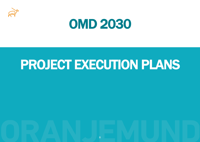



# PROJECT EXECUTION PLANS

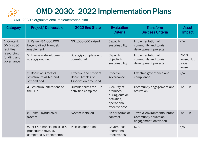

OMD 2030's organisational implementation plan

| <b>Category</b>                               | <b>Project/Deliverable</b>                                                     | 2022 End State                                                              | <b>Evaluation</b><br><b>Criteria</b>                                                     | <b>Transform</b><br><b>Success Criteria</b>                                   | <b>Asset</b><br>Impact                  |
|-----------------------------------------------|--------------------------------------------------------------------------------|-----------------------------------------------------------------------------|------------------------------------------------------------------------------------------|-------------------------------------------------------------------------------|-----------------------------------------|
| 1. Context:<br><b>OMD 2030</b><br>facilities, | 1. Raise N\$1,000,000<br>beyond direct Namdeb<br>enablement                    | N\$1,000,000 raised                                                         | Capacity,<br>sustainability                                                              | Implementation of<br>community and tourism<br>development projects            | N/A                                     |
| resourcing,<br>funding and<br>governance      | 2. Five-year development<br>strategy outlined                                  | Strategy complete and<br>operational                                        | Capacity,<br>objectivity,<br>sustainability                                              | Implementation of<br>community and tourism<br>development projects            | E9-10<br>house, Hub,<br>Jasper<br>house |
|                                               | 3. Board of Directors<br>structure revisited and<br>streamlined                | <b>Effective and efficient</b><br>Board. Articles of<br>Association amended | <b>Effective</b><br>governance                                                           | Effective governance and<br>compliance                                        | N/A                                     |
|                                               | 4. Structural alterations to<br>the Hub                                        | <b>Outside toilets for Hub</b><br>activities complete                       | Security of<br>premises<br>during outside<br>activities,<br>operational<br>effectiveness | Community engagement and<br>activation                                        | The Hub                                 |
|                                               | 5. Install hybrid solar<br>system                                              | System installed                                                            | As per terms of<br>contract                                                              | Town & environmental brand,<br>Community education,<br>engagement, activation | The Hub                                 |
|                                               | 6. HR & Financial policies &<br>procedures revised,<br>completed & implemented | Policies operational                                                        | Governance,<br>operational<br>effectiveness                                              | N/A                                                                           | N/A                                     |

ত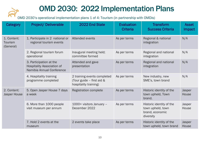OMD 2030's operational implementation plans 1 of 4: Tourism (in partnership with OMDis)

| Category                            | <b>Project/Deliverable</b>                                                                | 2022 End State                                                                    | <b>Evaluation</b><br><b>Criteria</b> | <b>Transform</b><br><b>Success Criteria</b>                                   | <b>Asset</b><br>Impact |
|-------------------------------------|-------------------------------------------------------------------------------------------|-----------------------------------------------------------------------------------|--------------------------------------|-------------------------------------------------------------------------------|------------------------|
| 1. Content:<br>Tourism<br>(General) | 1. Participate in 2 national or<br>regional tourism events                                | Attended events                                                                   | As per terms                         | Regional & national<br>integration                                            | N/A                    |
|                                     | 2. Regional tourism forum<br>operational                                                  | Inaugural meeting held;<br>committee formed                                       | As per terms                         | Regional and national<br>integration                                          | N/A                    |
|                                     | 3. Participation at the<br><b>Hospitality Association of</b><br>Namibia Annual Conference | Attended and gave<br>presentation                                                 | As per terms                         | Regional and national<br>integration                                          | N/A                    |
|                                     | 4. Hospitality training<br>programme completed                                            | 2 training events completed<br>(Tour guide - first aid &<br>hospitality training) | As per terms                         | New industry, new<br>SME's, town brand                                        | N/A                    |
| 2. Content:<br>Jasper House         | 5. Open Jasper House 7 days<br>a week                                                     | <b>Registration complete</b>                                                      | As per terms                         | Historic identity of the<br>town upheld, Town<br>brand.                       | Jasper<br>House        |
|                                     | 6. More than 1000 people<br>visit museum per annum                                        | 1000+ visitors January -<br>December 2022                                         | As per terms                         | Historic identity of the<br>town upheld, town<br>brand, economic<br>diversity | Jasper<br>House        |
|                                     | 7. Hold 2 events at the<br>museum                                                         | 2 events take place                                                               | As per terms                         | Historic identity of the<br>town upheld, town brand                           | Jasper<br>House        |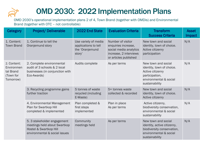

OMD 2030's operational implementation plans 2 of 4, Town Brand (together with OMDis) and Environmental Brand (together with OTC – not controllable)

| <b>Category</b>                                                  | <b>Project/Deliverable</b>                                                                                             | 2022 End State                                                            | <b>Evaluation Criteria</b>                                                                                            | <b>Transform</b><br><b>Success Criteria</b>                                                                                        | <b>Asset</b><br>Impact |
|------------------------------------------------------------------|------------------------------------------------------------------------------------------------------------------------|---------------------------------------------------------------------------|-----------------------------------------------------------------------------------------------------------------------|------------------------------------------------------------------------------------------------------------------------------------|------------------------|
| 1. Content:<br><b>Town Brand</b>                                 | 1. Continue to tell the<br>Oranjemund story                                                                            | Use variety of media<br>applications to tell<br>the 'Oranjemund<br>story' | Number of visitor<br>enquiries increase,<br>social media analytics<br>increase, 2 interviews<br>or articles published | New town and social<br>identity, town of choice.<br>Active citizenry<br>participation                                              | N/A                    |
| 2. Content:<br>Environmen<br>tal Brand<br>(Town for<br>Tomorrow) | 2. Complete environmental<br>audit of 3 schools & 2 local<br>businesses (in conjunction with<br>Eco-Awards)            | Audits complete                                                           | As per terms                                                                                                          | New town and social<br>identity, town of choice.<br>Active citizenry<br>participation,<br>environmental & social<br>sustainability | N/A                    |
|                                                                  | 3. Recycling programme gains<br>further traction                                                                       | 5 tonnes of waste<br>recycled (including<br>E-Waste)                      | 5+ tonnes waste<br>collected & recorded                                                                               | New town and social<br>identity, town of choice.<br>Active citizenry                                                               | N/A                    |
|                                                                  | 4. Environmental Management<br>Plan for Swartkop Hill<br>completed & implemented                                       | Plan completed &<br>first steps<br>implemented                            | Plan in place<br>As per terms                                                                                         | Active citizenry,<br>biodiversity conservation,<br>environmental & social<br>sustainability                                        | N/A                    |
|                                                                  | 5. 3 stakeholder engagement<br>meetings held about Swartkop<br>Hostel & Swartkop Hill<br>environmental & social issues | Community<br>meetings held                                                | As per terms                                                                                                          | New town and social<br>identity, active citizenry,<br>biodiversity conservation,<br>environmental & social<br>sustainability       | N/A                    |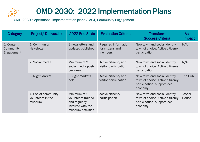

OMD 2030's operational implementation plans 3 of 4, Community Engagement

| Category                               | <b>Project/Deliverable</b>                         | 2022 End State                                                                                | <b>Evaluation Criteria</b>                          | <b>Transform</b><br><b>Success Criteria</b>                                                                  | <b>Asset</b><br><b>Impact</b> |
|----------------------------------------|----------------------------------------------------|-----------------------------------------------------------------------------------------------|-----------------------------------------------------|--------------------------------------------------------------------------------------------------------------|-------------------------------|
| 1. Content:<br>Community<br>Engagement | 1. Community<br><b>Newsletter</b>                  | 3 newsletters and<br>updates published                                                        | Required information<br>for citizens and<br>members | New town and social identity,<br>town of choice. Active citizenry<br>participation                           | N/A                           |
|                                        | 2. Social media                                    | Minimum of 3<br>social media posts<br>per week                                                | Active citizenry and<br>visitor participation       | New town and social identity,<br>town of choice. Active citizenry<br>participation                           | N/A                           |
|                                        | 3. Night Market                                    | 6 Night markets<br>held                                                                       | Active citizenry and<br>visitor participation       | New town and social identity,<br>town of choice. Active citizenry<br>participation, support local<br>economy | The Hub                       |
|                                        | 4. Use of community<br>volunteers in the<br>museum | Minimum of 2<br>volunteers trained<br>and regularly<br>involved with the<br>museum activities | Active citizenry<br>participation                   | New town and social identity,<br>town of choice. Active citizenry<br>participation, support local<br>economy | Jasper<br>House               |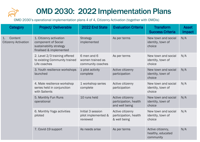

OMD 2030's operational implementation plans 4 of 4, Citizenry Activation (together with OMDis)

| <b>Category</b>                              | <b>Project/Deliverable</b>                                                                           | 2022 End State                                       | <b>Evaluation Criteria</b>                                  | <b>Transform</b><br><b>Success Criteria</b>         | <b>Asset</b><br>Impact |
|----------------------------------------------|------------------------------------------------------------------------------------------------------|------------------------------------------------------|-------------------------------------------------------------|-----------------------------------------------------|------------------------|
| 1.<br>Content<br><b>Citizenry Activation</b> | 1. Citizenry activation<br>component of Social<br>sustainability strategy<br>finalised & implemented | <b>Strategy</b><br>implemented                       | As per terms                                                | New town and social<br>identity, town of<br>choice  | N/A                    |
|                                              | 2. Level 2/3 training offered<br>to existing Community trained<br>Life coaches                       | 6 men and 6<br>women trained as<br>community coaches | As per terms                                                | New town and social<br>identity, town of<br>choice  | N/A                    |
|                                              | 3. Youth resilience workshops<br>launched                                                            | 1 pilot activity<br>complete                         | Active citizenry<br>participation                           | New town and social<br>identity, town of<br>choice  | N/A                    |
|                                              | 4. Male resilience workshop<br>series held in conjunction<br>with Salients                           | 1 workshop series<br>complete                        | Active citizenry<br>participation                           | New town and social<br>identity, town of<br>choice  | N/A                    |
|                                              | 5. Monthly Fun Runs<br>operational                                                                   | 10 runs held                                         | Active citizenry<br>participation, health<br>and well being | New town and social<br>identity, town of<br>choice  | N/A                    |
|                                              | 6. Monthly Yoga activities<br>piloted                                                                | Initial 3 session<br>pilot implemented &<br>reviewed | Active citizenry<br>participation, health<br>& well being   | New town and social<br>identity, town of<br>choice  | N/A                    |
|                                              | 7. Covid-19 support                                                                                  | As needs arise                                       | As per terms                                                | Active citizenry,<br>healthy, educated<br>community | N/A                    |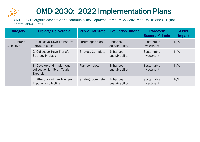

OMD 2030's organic economic and community development activities: Collective with OMDis and OTC (not controllable). 1 of 1

| Category                          | <b>Project/Deliverable</b>                                                            | 2022 End State                    | <b>Evaluation Criteria</b>        | <b>Transform</b><br><b>Success Criteria</b> | <b>Asset</b><br>Impact |
|-----------------------------------|---------------------------------------------------------------------------------------|-----------------------------------|-----------------------------------|---------------------------------------------|------------------------|
| Content:<br>$1_{-}$<br>Collective | 1. Collective Town Transform<br>Forum in place                                        | Forum operational                 | <b>Enhances</b><br>sustainability | Sustainable<br>investment                   | N/A                    |
|                                   | 2. Collective Town Transform<br>Strategy in place                                     | <b>Strategy Complete</b>          | <b>Enhances</b><br>sustainability | Sustainable<br>investment                   | N/A                    |
|                                   | 3. Develop and implement<br>Plan complete<br>collective Namibian Tourism<br>Expo plan | <b>Enhances</b><br>sustainability | Sustainable<br>investment         | N/A                                         |                        |
|                                   | 4. Attend Namibian Tourism<br>Expo as a collective                                    | Strategy complete                 | Enhances<br>sustainability        | Sustainable<br>investment                   | N/A                    |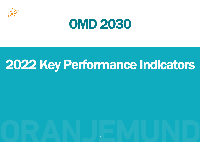



# 2022 Key Performance Indicators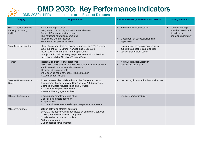#### OMD 2030: Key Performance Indicators

#### OMD 2030's KPI's are reportable to its Board of Directors

| Category                                                    | <b>Programme KPI</b>                                                                                                                                                                                                                                                                                              | Failure measures (in addition to KPI defaults)                                                            | <b>Status/Comment</b>                                                                         |
|-------------------------------------------------------------|-------------------------------------------------------------------------------------------------------------------------------------------------------------------------------------------------------------------------------------------------------------------------------------------------------------------|-----------------------------------------------------------------------------------------------------------|-----------------------------------------------------------------------------------------------|
| OMD 2030: Governance,<br>funding, resourcing,<br>facilities | • 5-Year strategy in place<br>N\$1,000,000 raised beyond Namdeb enablement<br>$\bullet$<br>Board of Directors structure revised<br>$\bullet$<br>Hub structural alterations completed<br>$\bullet$<br>Hybrid solar system installed<br>$\bullet$<br>HR & Financial policies revised                                | • No material asset allocation<br>Dependent on successful funding<br>application                          | Funding strategy<br>$\bullet$<br>must be developed,<br>despite asset<br>donation uncertainty. |
| Town Transform strategy                                     | Town Transform strategy revised, supported by OTC, Regional<br>$\bullet$<br>Government, GRN, OMDis, Namdeb and OMD 2030<br>New Town Transformation Forum operational<br>$\bullet$<br>Oranjemund Tourism strategy & plan operational & utilised by<br>collective exhibit at Namibian Tourism Expo                  | No structure, process or document to<br>substitute a post proclamation plan<br>Lack of Stakeholder buy in |                                                                                               |
| Tourism                                                     | Regional Tourism forum operational<br>$\bullet$<br>OMD 2030 participates in 2 national or regional tourism activities<br>$\bullet$<br>Participation in HAN National Conference<br>$\bullet$<br>Hospitality training complete<br>$\bullet$<br>Daily opening hours for Jasper House Museum<br>>1000 museum visitors | No material asset allocation<br>Lack of OMDis buy in                                                      |                                                                                               |
| <b>Town and Environmental</b><br><b>Brand</b>               | 2 interviews/articles published about the Oranjemund story<br>$\bullet$<br>Environmental audit completed for 3 schools & 2 businesses<br>$\bullet$<br>5 tonnes of waste recycled (including E-waste)<br>EMP for Swartkop Hill completed<br>$\bullet$<br>3 stakeholder engagements held<br>$\bullet$               | Lack of buy in from schools & businesses                                                                  |                                                                                               |
| <b>Citizenry Engagement</b>                                 | 3 community newsletters published<br>$\bullet$<br>3 social media posts per week<br>$\bullet$<br>6 Night Markets<br>2 Community volunteers assisting at Jasper House museum                                                                                                                                        | Lack of Community buy in                                                                                  |                                                                                               |
| <b>Citizenry Activation</b>                                 | Citizen activation strategy complete<br>Level 2/3 life coach training completed by community coaches<br>$\bullet$<br>1 pilot youth resilience event completed<br>$\bullet$<br>1 male resilience course completed<br>10 fun runs organized<br>3 yoga sessions implemented                                          |                                                                                                           |                                                                                               |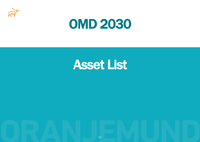



## Asset List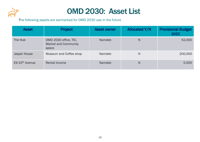

### OMD 2030: Asset List

The following assets are earmarked for OMD 2030 use in the future

| <b>Asset</b>   | Project                                                       | <b>Asset owner</b> | <b>Allocated Y/N</b> | <b>Provisional Budget</b><br>2022 |
|----------------|---------------------------------------------------------------|--------------------|----------------------|-----------------------------------|
| The Hub        | OMD 2030 office, TIC,<br><b>Market and Community</b><br>space | Namdeb             | N                    | 52,000                            |
| Jasper House   | Museum and Coffee shop                                        | Namdeb             | N                    | 200,000                           |
| E9-10th Avenue | Rental Income                                                 | Namdeb             | N                    | 5,000                             |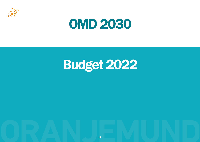



# Budget 2022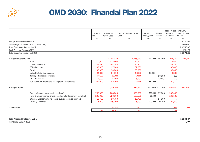

### OMD 2030: Financial Plan 2022

|                                                                 | Line Item<br>Cost | <b>Total Project</b><br><b>Gross Cost</b> | OMD 2030 Total Gross<br>Cost | External<br><b>Funding Cost</b> | Project<br>Income | <b>Total Project</b><br>Net OMD<br>2030 Cost | Total OMD<br>2030 Budget<br>Impact |
|-----------------------------------------------------------------|-------------------|-------------------------------------------|------------------------------|---------------------------------|-------------------|----------------------------------------------|------------------------------------|
|                                                                 | N\$               | N\$                                       | N\$                          | N\$                             | N\$               | N\$                                          | N\$                                |
| Budget Reserve December 2021                                    |                   |                                           |                              |                                 |                   |                                              | 674,705                            |
| New Budget Allocation for 2021 (Namdeb)                         |                   |                                           |                              |                                 |                   |                                              | 1,000,000                          |
| Total Cash Asset January 2021                                   |                   |                                           |                              |                                 |                   |                                              | 1,674,705                          |
| Cash Asset on Reserve (10%)                                     |                   |                                           |                              |                                 |                   |                                              | 167470                             |
| Total Budget Allocation for 2021                                |                   |                                           |                              |                                 |                   |                                              | 1,507,235                          |
| A. Organisational Spend                                         |                   | 1,295,040                                 | 1,055,040                    | 240,000                         | 66,000            | 989,040                                      | 989,040                            |
| Staff                                                           | 712,500           | 712,500                                   | 712,500                      |                                 |                   | 712,500                                      |                                    |
| <b>Operational Costs</b>                                        | 144,240           | 144,240                                   | 144,240                      |                                 |                   | 144,240                                      |                                    |
| Office Equipment                                                | 37,000            | 37,000                                    | 37,000                       |                                 |                   | 37,000                                       |                                    |
| Travel                                                          | 90,000            | 90,000                                    | 90,000                       |                                 |                   | 90,000                                       |                                    |
| Legal, Registration, Licences                                   | 94,300            | 94,300                                    | 4,3000                       | 90,000                          |                   | 4,300                                        |                                    |
| Banking (charges and interest)                                  | 10,000            | 10,000                                    | 10,000                       |                                 | 16,000            | 0.0                                          |                                    |
| $E9 - 10$ <sup>th</sup> Avenue                                  | 5,000             | 5,000                                     | 5,000                        |                                 | 50,000            | 0.0                                          |                                    |
| Hub Structural Alterations & Long-term Maintenance              | 202,000           | 202,000                                   | 52,000                       | 150,000                         |                   | 52,000                                       |                                    |
| <b>B.</b> Project Spend                                         |                   | 1,225,650                                 | 589,250                      |                                 | 631,400 121,750   | 467,500                                      | 467,500                            |
| Tourism (Jasper House, Activities, Expo)                        | 768,000           | 768,000                                   | 323,000                      | 445,000                         | 87,000            | 236,000                                      |                                    |
| Town & Environmental Brand (incl. Town for Tomorrow, recycling) | 226,900           | 226,900                                   | 130,500                      | 96,400                          |                   | 130,500                                      |                                    |
| Citizenry Engagement (incl. shop, outside facilities, printing) | 10,750            | 10,750                                    | 10,750                       |                                 | 14,500            |                                              |                                    |
| <b>Citizenry Activation</b>                                     | 415,000           | 415,,000                                  | 125,000                      | 290,000                         | 20,250            | 104,750                                      |                                    |
| C. Contingency                                                  |                   | 72,827                                    | 72,827                       |                                 |                   | 72,827                                       | 72,827                             |
|                                                                 | 72,827            | 72,827                                    | 72,827                       |                                 |                   | 72,827                                       |                                    |
|                                                                 |                   |                                           |                              |                                 |                   |                                              |                                    |
| Total Allocated Budget for 2021<br>Remaining Budget 2021        |                   |                                           |                              |                                 |                   |                                              | $-1,529,367$<br>$-22,132$          |
|                                                                 |                   |                                           |                              |                                 |                   |                                              |                                    |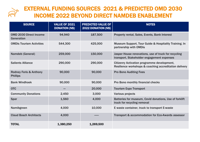

#### EXTERNAL FUNDING SOURCES 2021 & PREDICTED OMD 2030 INCOME 2022 BEYOND DIRECT NAMDEB ENABLEMENT

| <b>SOURCE</b>                                        | <b>VALUE OF 2021</b><br><b>DONATION (N\$)</b> | <b>PREDICTED VALUE OF</b><br>2022 DONATION (N\$) | <b>NOTES</b>                                                                                                 |
|------------------------------------------------------|-----------------------------------------------|--------------------------------------------------|--------------------------------------------------------------------------------------------------------------|
| <b>OMD 2030 Direct Income</b><br>Generation          | 94,940                                        | 187,500                                          | Property rental, Sales, Events, Bank Interest                                                                |
| <b>OMDis Tourism Activities</b>                      | 544,300                                       | 425,000                                          | Museum Support, Tour Guide & Hospitality Training. In<br>partnership with OMDis                              |
| Namdeb (General)                                     | 259,000                                       | 150,000                                          | Jasper House renovations, use of truck for recycling<br>transport, Stakeholder engagement expenses           |
| <b>Salients Alliance</b>                             | 290,000                                       | 290,000                                          | <b>Citizenry Activation programme development,</b><br>Resilience workshops & coaching accreditation delivery |
| <b>Rodney Feris &amp; Anthony</b><br><b>Phillips</b> | 90,000                                        | 90,000                                           | <b>Pro Bono Auditing Fees</b>                                                                                |
| <b>Bank Windhoek</b>                                 | 90,000                                        | 90,000                                           | Pro Bono monthly financial checks                                                                            |
| <b>OTC</b>                                           |                                               | 20,000                                           | <b>Tourism Expo Transport</b>                                                                                |
| <b>Community Donations</b>                           | 2,450                                         | 3,000                                            | <b>Various projects</b>                                                                                      |
| <b>Spar</b>                                          | 1,560                                         | 4,000                                            | Batteries for museum, Covid donations, Use of forklift<br>truck for recycling removal                        |
| Namibgreen                                           | 4,000                                         | 10,000                                           | E waste container, truck to transport E-waste                                                                |
| <b>Claud Bosch Architects</b>                        | 4,000                                         |                                                  | Transport & accommodation for Eco-Awards assessor                                                            |
| <b>TOTAL</b>                                         | 1,380,250                                     | 1,269,500                                        |                                                                                                              |